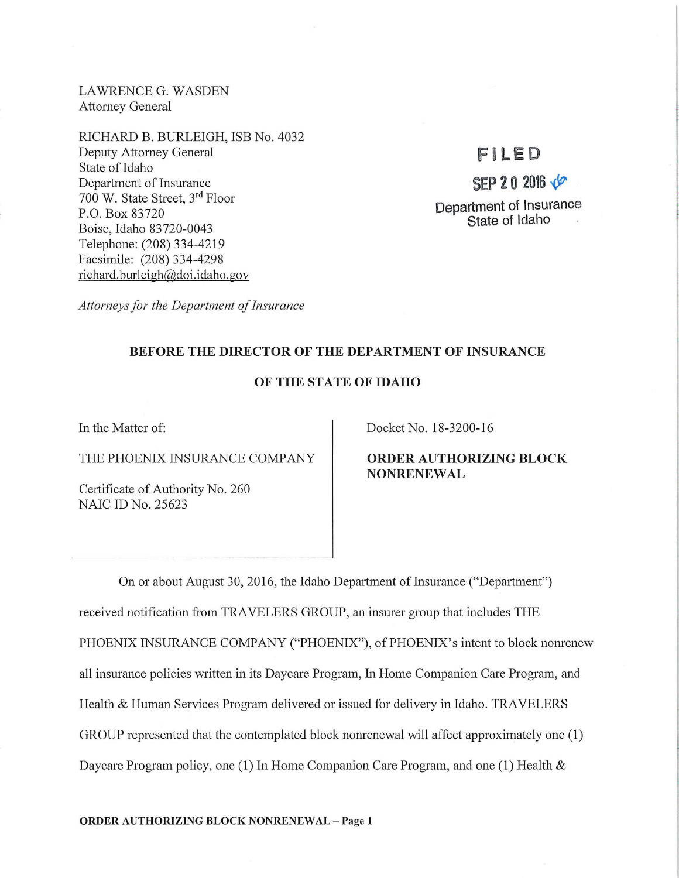LAWRENCE G. WASDEN Attorney General

RICHARD B. BURLEIGH, ISB No. 4032 Deputy Attorney General State of Idaho Department of Insurance 700 W. State Street, 3rd Floor P.O. Box 83720 Boise, Idaho 83720-0043 Telephone: (208) 334-4219 Facsimile: (208) 334-4298 richard. burleigh@doi.idaho.gov

# !FILE D

 $SEP 20 2016 \sqrt{2}$ Department of Insurance State of Idaho

*Attorneys for the Department of Insurance* 

## BEFORE THE DIRECTOR OF THE DEPARTMENT OF INSURANCE

## OF THE STATE OF IDAHO

In the Matter of:

THE PHOENIX INSURANCE COMPANY

Certificate of Authority No. 260 NAIC ID No. 25623

Docket No. 18-3200-16

ORDER AUTHORIZING BLOCK NONRENEWAL

On or about August 30, 2016, the Idaho Department of Insurance ("Department") received notification from TRAVELERS GROUP, an insurer group that includes THE PHOENIX INSURANCE COMPANY ("PHOENIX"), of PHOENIX's intent to block nonrenew all insurance policies written in its Daycare Program, In Home Companion Care Program, and Health & Human Services Program delivered or issued for delivery in Idaho. TRAVELERS GROUP represented that the contemplated block nonrenewal will affect approximately one (1) Daycare Program policy, one (1) In Home Companion Care Program, and one (1) Health &

ORDER AUTHORIZING BLOCK NONRENEWAL - Page 1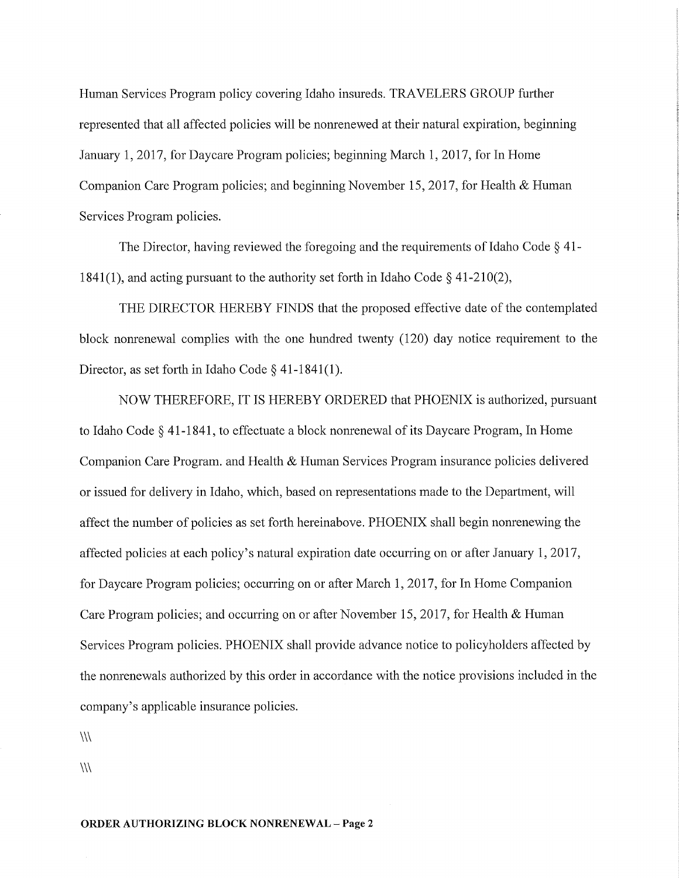Human Services Program policy covering Idaho insureds. TRAVELERS GROUP further represented that all affected policies will be nonrenewed at their natural expiration, beginning January 1, 2017, for Daycare Program policies; beginning March 1, 2017, for In Home Companion Care Program policies; and beginning November 15, 2017, for Health & Human Services Program policies.

The Director, having reviewed the foregoing and the requirements of Idaho Code § 41- 1841(1), and acting pursuant to the authority set forth in Idaho Code  $\S$  41-210(2),

THE DIRECTOR HEREBY FINDS that the proposed effective date of the contemplated block nonrenewal complies with the one hundred twenty (120) day notice requirement to the Director, as set forth in Idaho Code  $\S$  41-1841(1).

NOW THEREFORE, IT IS HEREBY ORDERED that PHOENIX is authorized, pursuant to Idaho Code § 41-1841, to effectuate a block nonrenewal of its Daycare Program, In Home Companion Care Program. and Health & Human Services Program insurance policies delivered or issued for delivery in Idaho, which, based on representations made to the Department, will affect the number of policies as set forth hereinabove. PHOENIX shall begin nonrenewing the affected policies at each policy's natural expiration date occurring on or after January 1, 2017, for Daycare Program policies; occurring on or after March 1, 2017, for In Home Companion Care Program policies; and occurring on or after November 15, 2017, for Health  $&$  Human Services Program policies. PHOENIX shall provide advance notice to policyholders affected by the nonrenewals authorized by this order in accordance with the notice provisions included in the company's applicable insurance policies.

 $\langle \rangle$ 

 $\langle \mathcal{U} \rangle$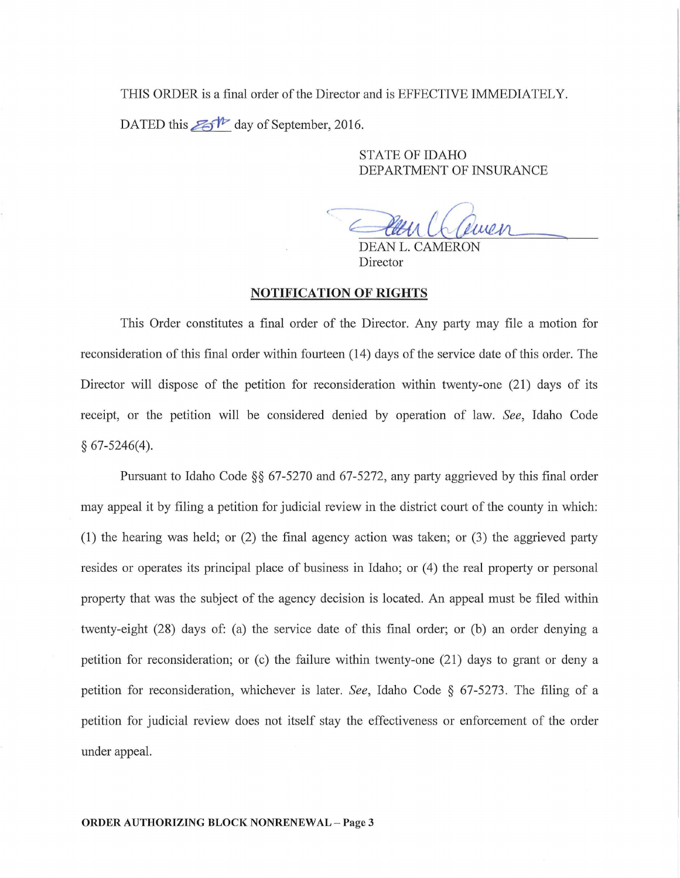THIS ORDER is a final order of the Director and is EFFECTIVE IMMEDIATELY. DATED this  $\mathbb{Z}$ <sup>th</sup> day of September, 2016.

> STATE OF IDAHO DEPARTMENT OF INSURANCE

Wen Cliven

Director

#### NOTIFICATION OF RIGHTS

This Order constitutes a final order of the Director. Any party may file a motion for reconsideration of this final order within fourteen (14) days of the service date of this order. The Director will dispose of the petition for reconsideration within twenty-one (21) days of its receipt, or the petition will be considered denied by operation of law. *See,* Idaho Code § 67-5246(4).

Pursuant to Idaho Code  $\S$ § 67-5270 and 67-5272, any party aggrieved by this final order may appeal it by filing a petition for judicial review in the district court of the county in which: (1) the hearing was held; or  $(2)$  the final agency action was taken; or  $(3)$  the aggrieved party resides or operates its principal place of business in Idaho; or (4) the real property or personal property that was the subject of the agency decision is located. An appeal must be filed within twenty-eight (28) days of: (a) the service date of this final order; or (b) an order denying a petition for reconsideration; or (c) the failure within twenty-one (21) days to grant or deny a petition for reconsideration, whichever is later. *See,* Idaho Code § 67-5273. The filing of a petition for judicial review does not itself stay the effectiveness or enforcement of the order under appeal.